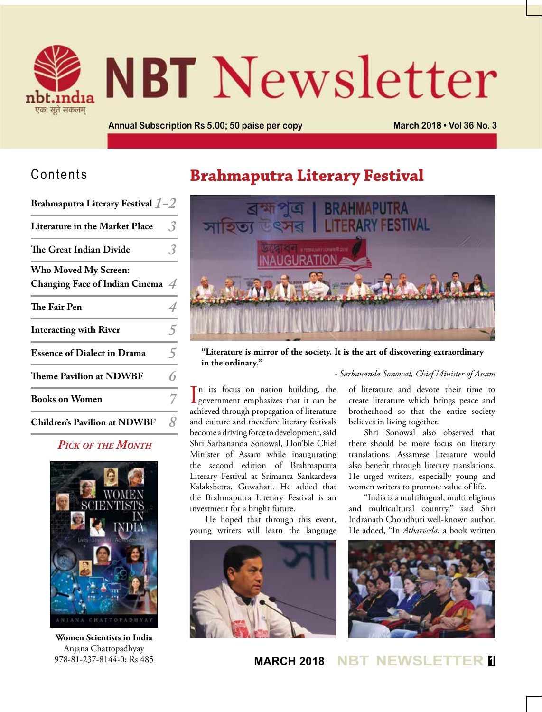

# **NBT** Newsletter

**Annual Subscription Rs 5.00; 50 paise per copy March 2018 • Vol 36 No. 3**

## Contents

| Brahmaputra Literary Festival $1-2$ |  |  |  |  |
|-------------------------------------|--|--|--|--|
|-------------------------------------|--|--|--|--|

| <b>Literature in the Market Place</b> |  |
|---------------------------------------|--|
| The Great Indian Divide               |  |

| <b>Who Moved My Screen:</b><br>Changing Face of Indian Cinema $\mathcal A$ |  |
|----------------------------------------------------------------------------|--|
| The Fair Pen                                                               |  |
| <b>Interacting with River</b>                                              |  |
| <b>Essence of Dialect in Drama</b>                                         |  |
| <b>Theme Pavilion at NDWBF</b>                                             |  |
| <b>Books on Women</b>                                                      |  |

## *Pick of the Month*

**Children's Pavilion at NDWBF** *8*



**Women Scientists in India** Anjana Chattopadhyay 978-81-237-8144-0; Rs 485

## **Brahmaputra Literary Festival**



**"Literature is mirror of the society. It is the art of discovering extraordinary in the ordinary."** 

#### *- Sarbananda Sonowal, Chief Minister of Assam*

In its focus on nation building, the<br>government emphasizes that it can be n its focus on nation building, the achieved through propagation of literature and culture and therefore literary festivals become a driving force to development, said Shri Sarbananda Sonowal, Hon'ble Chief Minister of Assam while inaugurating the second edition of Brahmaputra Literary Festival at Srimanta Sankardeva Kalakshetra, Guwahati. He added that the Brahmaputra Literary Festival is an investment for a bright future.

He hoped that through this event, young writers will learn the language



of literature and devote their time to create literature which brings peace and brotherhood so that the entire society believes in living together.

Shri Sonowal also observed that there should be more focus on literary translations. Assamese literature would also benefit through literary translations. He urged writers, especially young and women writers to promote value of life.

"India is a multilingual, multireligious and multicultural country," said Shri Indranath Choudhuri well-known author. He added, "In *Atharveda*, a book written



**MARCH 2018 NBT NEWSLET**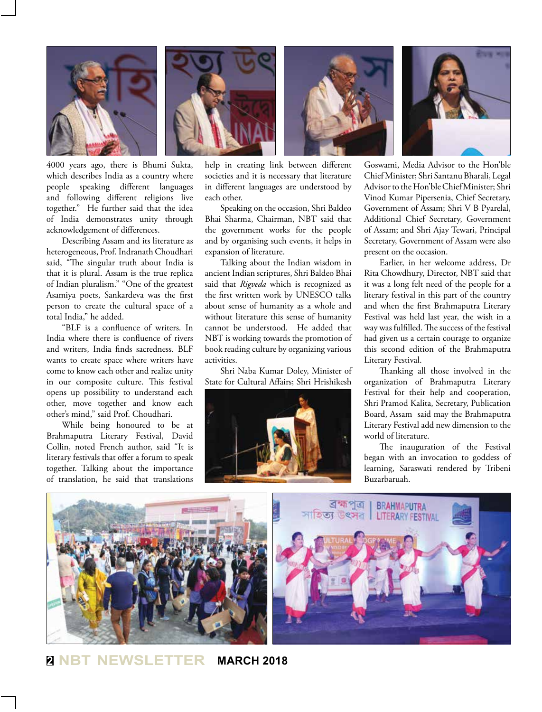

4000 years ago, there is Bhumi Sukta, which describes India as a country where people speaking different languages and following different religions live together." He further said that the idea of India demonstrates unity through acknowledgement of differences.

Describing Assam and its literature as heterogeneous, Prof. Indranath Choudhari said, "The singular truth about India is that it is plural. Assam is the true replica of Indian pluralism." "One of the greatest Asamiya poets, Sankardeva was the first person to create the cultural space of a total India," he added.

"BLF is a confluence of writers. In India where there is confluence of rivers and writers, India finds sacredness. BLF wants to create space where writers have come to know each other and realize unity in our composite culture. This festival opens up possibility to understand each other, move together and know each other's mind," said Prof. Choudhari.

While being honoured to be at Brahmaputra Literary Festival, David Collin, noted French author, said "It is literary festivals that offer a forum to speak together. Talking about the importance of translation, he said that translations help in creating link between different societies and it is necessary that literature in different languages are understood by each other.

Speaking on the occasion, Shri Baldeo Bhai Sharma, Chairman, NBT said that the government works for the people and by organising such events, it helps in expansion of literature.

Talking about the Indian wisdom in ancient Indian scriptures, Shri Baldeo Bhai said that *Rigveda* which is recognized as the first written work by UNESCO talks about sense of humanity as a whole and without literature this sense of humanity cannot be understood. He added that NBT is working towards the promotion of book reading culture by organizing various activities.

Shri Naba Kumar Doley, Minister of State for Cultural Affairs; Shri Hrishikesh



Goswami, Media Advisor to the Hon'ble Chief Minister; Shri Santanu Bharali, Legal Advisor to the Hon'ble Chief Minister; Shri Vinod Kumar Pipersenia, Chief Secretary, Government of Assam; Shri V B Pyarelal, Additional Chief Secretary, Government of Assam; and Shri Ajay Tewari, Principal Secretary, Government of Assam were also present on the occasion.

Earlier, in her welcome address, Dr Rita Chowdhury, Director, NBT said that it was a long felt need of the people for a literary festival in this part of the country and when the first Brahmaputra Literary Festival was held last year, the wish in a way was fulfilled. The success of the festival had given us a certain courage to organize this second edition of the Brahmaputra Literary Festival.

Thanking all those involved in the organization of Brahmaputra Literary Festival for their help and cooperation, Shri Pramod Kalita, Secretary, Publication Board, Assam said may the Brahmaputra Literary Festival add new dimension to the world of literature.

The inauguration of the Festival began with an invocation to goddess of learning, Saraswati rendered by Tribeni Buzarbaruah.



**<sup>2</sup> NBT NEWSLETTER MARCH 2018**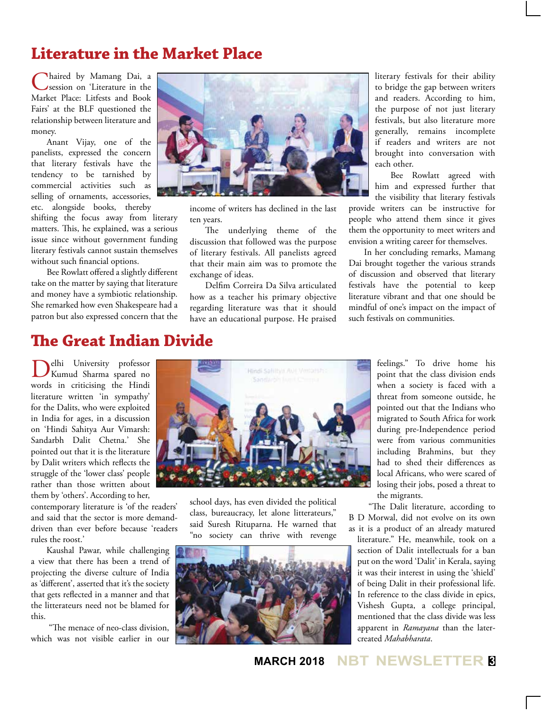## **Literature in the Market Place**

Chaired by Mamang Dai, a<br>
Session on 'Literature in the Market Place: Litfests and Book Fairs' at the BLF questioned the relationship between literature and money.

Anant Vijay, one of the panelists, expressed the concern that literary festivals have the tendency to be tarnished by commercial activities such as selling of ornaments, accessories, etc. alongside books, thereby

shifting the focus away from literary matters. This, he explained, was a serious issue since without government funding literary festivals cannot sustain themselves without such financial options.

Bee Rowlatt offered a slightly different take on the matter by saying that literature and money have a symbiotic relationship. She remarked how even Shakespeare had a patron but also expressed concern that the



income of writers has declined in the last ten years.

The underlying theme of the discussion that followed was the purpose of literary festivals. All panelists agreed that their main aim was to promote the exchange of ideas.

Delfim Correira Da Silva articulated how as a teacher his primary objective regarding literature was that it should have an educational purpose. He praised

literary festivals for their ability to bridge the gap between writers and readers. According to him, the purpose of not just literary festivals, but also literature more generally, remains incomplete if readers and writers are not brought into conversation with each other.

Bee Rowlatt agreed with him and expressed further that the visibility that literary festivals

provide writers can be instructive for people who attend them since it gives them the opportunity to meet writers and envision a writing career for themselves.

In her concluding remarks, Mamang Dai brought together the various strands of discussion and observed that literary festivals have the potential to keep literature vibrant and that one should be mindful of one's impact on the impact of such festivals on communities.

## **The Great Indian Divide**

Delhi University professor Kumud Sharma spared no words in criticising the Hindi literature written 'in sympathy' for the Dalits, who were exploited in India for ages, in a discussion on 'Hindi Sahitya Aur Vimarsh: Sandarbh Dalit Chetna.' She pointed out that it is the literature by Dalit writers which reflects the struggle of the 'lower class' people rather than those written about them by 'others'. According to her,

contemporary literature is 'of the readers' and said that the sector is more demanddriven than ever before because 'readers rules the roost.'

Kaushal Pawar, while challenging a view that there has been a trend of projecting the diverse culture of India as 'different', asserted that it's the society that gets reflected in a manner and that the litterateurs need not be blamed for this.

 "The menace of neo-class division, which was not visible earlier in our



school days, has even divided the political class, bureaucracy, let alone litterateurs," said Suresh Rituparna. He warned that "no society can thrive with revenge



feelings." To drive home his point that the class division ends when a society is faced with a threat from someone outside, he pointed out that the Indians who migrated to South Africa for work during pre-Independence period were from various communities including Brahmins, but they had to shed their differences as local Africans, who were scared of losing their jobs, posed a threat to the migrants.

 "The Dalit literature, according to B D Morwal, did not evolve on its own as it is a product of an already matured literature." He, meanwhile, took on a section of Dalit intellectuals for a ban put on the word 'Dalit' in Kerala, saying it was their interest in using the 'shield' of being Dalit in their professional life. In reference to the class divide in epics, Vishesh Gupta, a college principal, mentioned that the class divide was less apparent in *Ramayana* than the latercreated *Mahabharata*.

**MARCH 2018 NBT NEWSLETTER <sup>3</sup>**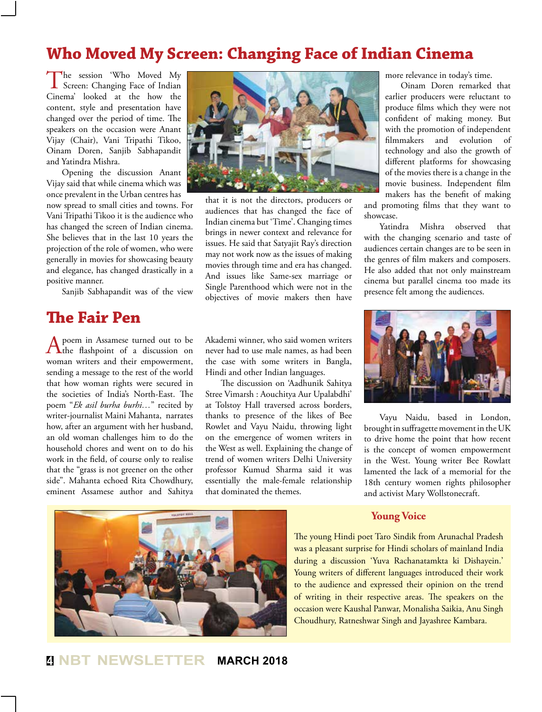## **Who Moved My Screen: Changing Face of Indian Cinema**

The session 'Who Moved My<br>Screen: Changing Face of Indian Cinema' looked at the how the content, style and presentation have changed over the period of time. The speakers on the occasion were Anant Vijay (Chair), Vani Tripathi Tikoo, Oinam Doren, Sanjib Sabhapandit and Yatindra Mishra.

Opening the discussion Anant Vijay said that while cinema which was once prevalent in the Urban centres has

now spread to small cities and towns. For Vani Tripathi Tikoo it is the audience who has changed the screen of Indian cinema. She believes that in the last 10 years the projection of the role of women, who were generally in movies for showcasing beauty and elegance, has changed drastically in a positive manner.

Sanjib Sabhapandit was of the view

## **The Fair Pen**

A poem in Assamese turned out to be<br>
the flashpoint of a discussion on woman writers and their empowerment, sending a message to the rest of the world that how woman rights were secured in the societies of India's North-East. The poem "*Ek asil burha burhi…*" recited by writer-journalist Maini Mahanta, narrates how, after an argument with her husband, an old woman challenges him to do the household chores and went on to do his work in the field, of course only to realise that the "grass is not greener on the other side". Mahanta echoed Rita Chowdhury, eminent Assamese author and Sahitya



that it is not the directors, producers or audiences that has changed the face of Indian cinema but 'Time'. Changing times brings in newer context and relevance for issues. He said that Satyajit Ray's direction may not work now as the issues of making movies through time and era has changed. And issues like Same-sex marriage or Single Parenthood which were not in the objectives of movie makers then have

Akademi winner, who said women writers never had to use male names, as had been the case with some writers in Bangla, Hindi and other Indian languages.

The discussion on 'Aadhunik Sahitya Stree Vimarsh : Aouchitya Aur Upalabdhi' at Tolstoy Hall traversed across borders, thanks to presence of the likes of Bee Rowlet and Vayu Naidu, throwing light on the emergence of women writers in the West as well. Explaining the change of trend of women writers Delhi University professor Kumud Sharma said it was essentially the male-female relationship that dominated the themes.

more relevance in today's time.

Oinam Doren remarked that earlier producers were reluctant to produce films which they were not confident of making money. But with the promotion of independent filmmakers and evolution of technology and also the growth of different platforms for showcasing of the movies there is a change in the movie business. Independent film makers has the benefit of making

and promoting films that they want to showcase.

Yatindra Mishra observed that with the changing scenario and taste of audiences certain changes are to be seen in the genres of film makers and composers. He also added that not only mainstream cinema but parallel cinema too made its presence felt among the audiences.



Vayu Naidu, based in London, brought in suffragette movement in the UK to drive home the point that how recent is the concept of women empowerment in the West. Young writer Bee Rowlatt lamented the lack of a memorial for the 18th century women rights philosopher and activist Mary Wollstonecraft.

#### **Young Voice**

The young Hindi poet Taro Sindik from Arunachal Pradesh was a pleasant surprise for Hindi scholars of mainland India during a discussion 'Yuva Rachanatamkta ki Dishayein.' Young writers of different languages introduced their work to the audience and expressed their opinion on the trend of writing in their respective areas. The speakers on the occasion were Kaushal Panwar, Monalisha Saikia, Anu Singh Choudhury, Ratneshwar Singh and Jayashree Kambara.

## **<sup>4</sup> NBT NEWSLETTER MARCH 2018**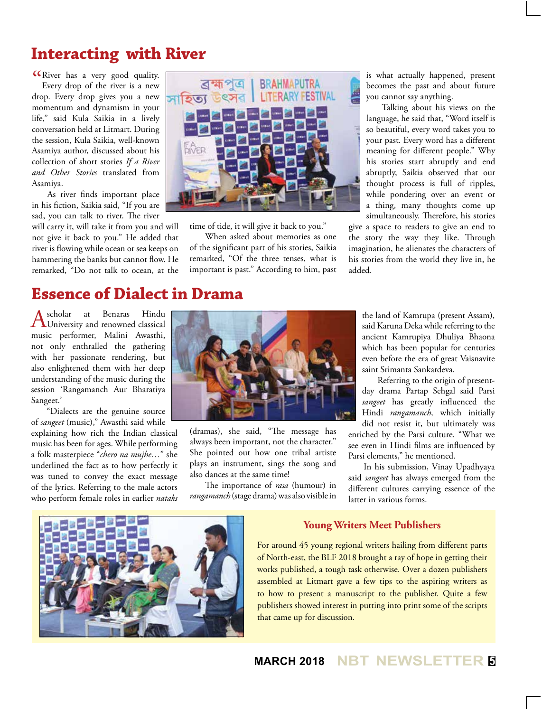## **Interacting with River**

**CO** River has a very good quality.<br>Every drop of the river is a new Every drop of the river is a new drop. Every drop gives you a new momentum and dynamism in your life," said Kula Saikia in a lively conversation held at Litmart. During the session, Kula Saikia, well-known Asamiya author, discussed about his collection of short stories *If a River and Other Stories* translated from Asamiya.

As river finds important place in his fiction, Saikia said, "If you are sad, you can talk to river. The river

will carry it, will take it from you and will not give it back to you." He added that river is flowing while ocean or sea keeps on hammering the banks but cannot flow. He remarked, "Do not talk to ocean, at the

## **Essence of Dialect in Drama**

A scholar at Benaras Hindu<br>
University and renowned classical music performer, Malini Awasthi, not only enthralled the gathering with her passionate rendering, but also enlightened them with her deep understanding of the music during the session 'Rangamanch Aur Bharatiya Sangeet.'

"Dialects are the genuine source of *sangeet* (music)," Awasthi said while explaining how rich the Indian classical music has been for ages. While performing a folk masterpiece "*chero na mujhe…*" she

underlined the fact as to how perfectly it was tuned to convey the exact message of the lyrics. Referring to the male actors who perform female roles in earlier *nataks*



time of tide, it will give it back to you."

When asked about memories as one of the significant part of his stories, Saikia remarked, "Of the three tenses, what is important is past." According to him, past

is what actually happened, present becomes the past and about future you cannot say anything.

Talking about his views on the language, he said that, "Word itself is so beautiful, every word takes you to your past. Every word has a different meaning for different people." Why his stories start abruptly and end abruptly, Saikia observed that our thought process is full of ripples, while pondering over an event or a thing, many thoughts come up simultaneously. Therefore, his stories

give a space to readers to give an end to the story the way they like. Through imagination, he alienates the characters of his stories from the world they live in, he added.



(dramas), she said, "The message has always been important, not the character." She pointed out how one tribal artiste plays an instrument, sings the song and also dances at the same time!

The importance of *rasa* (humour) in *rangamanch* (stage drama) was also visible in

the land of Kamrupa (present Assam), said Karuna Deka while referring to the ancient Kamrupiya Dhuliya Bhaona which has been popular for centuries even before the era of great Vaisnavite saint Srimanta Sankardeva.

Referring to the origin of presentday drama Partap Sehgal said Parsi *sangeet* has greatly influenced the Hindi *rangamanch,* which initially did not resist it, but ultimately was enriched by the Parsi culture. "What we see even in Hindi films are influenced by Parsi elements," he mentioned.

In his submission, Vinay Upadhyaya said *sangeet* has always emerged from the different cultures carrying essence of the latter in various forms.



#### **Young Writers Meet Publishers**

For around 45 young regional writers hailing from different parts of North-east, the BLF 2018 brought a ray of hope in getting their works published, a tough task otherwise. Over a dozen publishers assembled at Litmart gave a few tips to the aspiring writers as to how to present a manuscript to the publisher. Quite a few publishers showed interest in putting into print some of the scripts that came up for discussion.

**MARCH 2018 NBT NEWSLETTER <sup>5</sup>**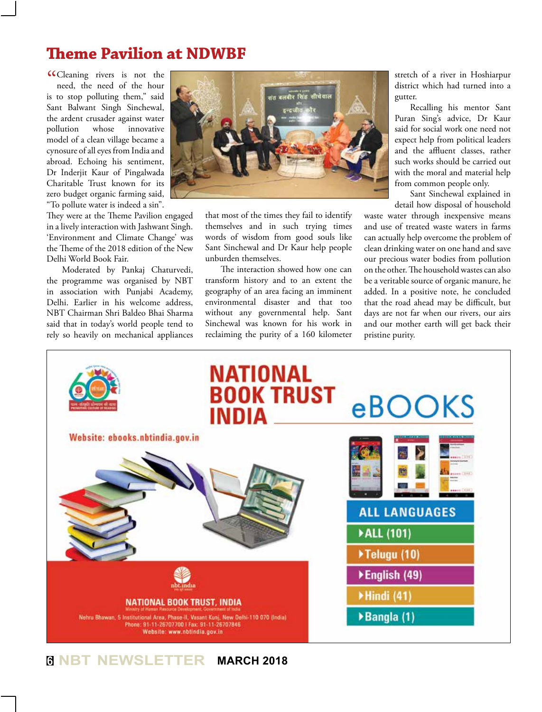# **Theme Pavilion at NDWBF**

CCleaning rivers is not the<br>need, the need of the hour need, the need of the hour is to stop polluting them," said Sant Balwant Singh Sinchewal, the ardent crusader against water pollution whose innovative model of a clean village became a cynosure of all eyes from India and abroad. Echoing his sentiment, Dr Inderjit Kaur of Pingalwada Charitable Trust known for its zero budget organic farming said, "To pollute water is indeed a sin".

They were at the Theme Pavilion engaged in a lively interaction with Jashwant Singh. 'Environment and Climate Change' was the Theme of the 2018 edition of the New Delhi World Book Fair.

Moderated by Pankaj Chaturvedi, the programme was organised by NBT in association with Punjabi Academy, Delhi. Earlier in his welcome address, NBT Chairman Shri Baldeo Bhai Sharma said that in today's world people tend to rely so heavily on mechanical appliances



that most of the times they fail to identify themselves and in such trying times words of wisdom from good souls like Sant Sinchewal and Dr Kaur help people unburden themselves.

The interaction showed how one can transform history and to an extent the geography of an area facing an imminent environmental disaster and that too without any governmental help. Sant Sinchewal was known for his work in reclaiming the purity of a 160 kilometer

stretch of a river in Hoshiarpur district which had turned into a gutter.

Recalling his mentor Sant Puran Sing's advice, Dr Kaur said for social work one need not expect help from political leaders and the affluent classes, rather such works should be carried out with the moral and material help from common people only.

Sant Sinchewal explained in detail how disposal of household

waste water through inexpensive means and use of treated waste waters in farms can actually help overcome the problem of clean drinking water on one hand and save our precious water bodies from pollution on the other. The household wastes can also be a veritable source of organic manure, he added. In a positive note, he concluded that the road ahead may be difficult, but days are not far when our rivers, our airs and our mother earth will get back their pristine purity.



## **<sup>6</sup> NBT NEWSLETTER MARCH 2018**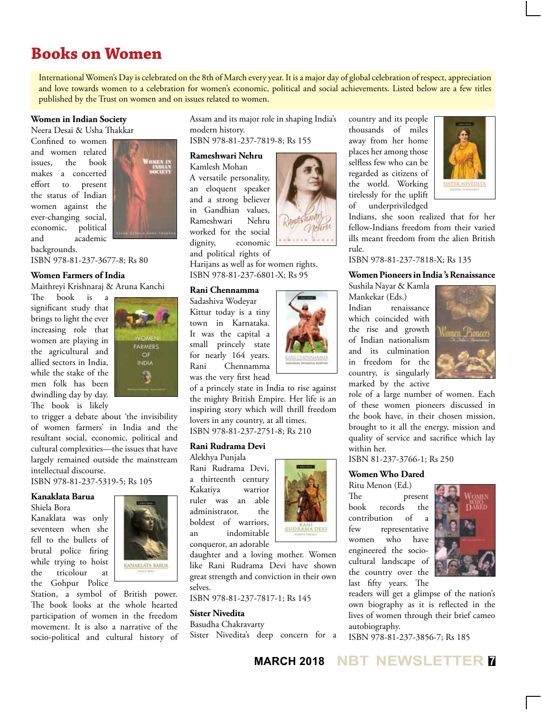# **Books on Women**

International Women's Day is celebrated on the 8th of March every year. It is a major day of global celebration of respect, appreciation and love towards women to a celebration for women's economic, political and social achievements. Listed below are a few titles published by the Trust on women and on issues related to women.

#### **Women in Indian Society**

Neera Desai & Usha Thakkar

Confined to women and women related issues, the book makes a concerted effort to present the status of Indian women against the ever-changing social, economic, political and academic



backgrounds.

ISBN 978-81-237-3677-8; Rs 80

#### **Women Farmers of India**

Maithreyi Krishnaraj & Aruna Kanchi

The book is a significant study that brings to light the ever increasing role that women are playing in the agricultural and allied sectors in India, while the stake of the men folk has been dwindling day by day. The book is likely



to trigger a debate about 'the invisibility of women farmers' in India and the resultant social, economic, political and cultural complexities—the issues that have largely remained outside the mainstream intellectual discourse.

ISBN 978-81-237-5319-5; Rs 105

#### **Kanaklata Barua**

Shiela Bora

Kanaklata was only seventeen when she fell to the bullets of brutal police firing while trying to hoist the tricolour at the Gohpur Police



Station, a symbol of British power. The book looks at the whole hearted participation of women in the freedom movement. It is also a narrative of the socio-political and cultural history of

Assam and its major role in shaping India's modern history. ISBN 978-81-237-7819-8; Rs 155

**Rameshwari Nehru**

Kamlesh Mohan A versatile personality, an eloquent speaker and a strong believer in Gandhian values,<br>Rameshwari Nehru Rameshwari worked for the social dignity, economic and political rights of



Harijans as well as for women rights. ISBN 978-81-237-6801-X; Rs 95

#### **Rani Chennamma**

Sadashiva Wodeyar Kittur today is a tiny town in Karnataka. It was the capital a small princely state for nearly 164 years. Rani Chennamma was the very first head



of a princely state in India to rise against the mighty British Empire. Her life is an inspiring story which will thrill freedom lovers in any country, at all times. ISBN 978-81-237-2751-8; Rs 210

#### **Rani Rudrama Devi**

Rani Rudrama Devi, a thirteenth century Kakatiya warrior ruler was an able administrator, the boldest of warriors, an indomitable conqueror, an adorable



daughter and a loving mother. Women like Rani Rudrama Devi have shown great strength and conviction in their own selves.

ISBN 978-81-237-7817-1; Rs 145

#### **Sister Nivedita**

Basudha Chakravarty Sister Nivedita's deep concern for a country and its people thousands of miles away from her home places her among those selfless few who can be regarded as citizens of the world. Working tirelessly for the uplift of underpriviledged



Indians, she soon realized that for her fellow-Indians freedom from their varied ills meant freedom from the alien British rule.

#### ISBN 978-81-237-7818-X; Rs 135

#### **Women Pioneers in India 's Renaissance**

Sushila Nayar & Kamla Mankekar (Eds.) Indian renaissance which coincided with the rise and growth of Indian nationalism and its culmination in freedom for the country, is singularly marked by the active



role of a large number of women. Each of these women pioneers discussed in the book have, in their chosen mission, brought to it all the energy, mission and quality of service and sacrifice which lay within her.

ISBN 81-237-3766-1; Rs 250

### **Women Who Dared**

Ritu Menon (Ed.) The present book records the contribution of a few representative women who have engineered the sociocultural landscape of the country over the last fifty years. The



readers will get a glimpse of the nation's own biography as it is reflected in the lives of women through their brief cameo autobiography.

ISBN 978-81-237-3856-7; Rs 185

Alekhya Punjala